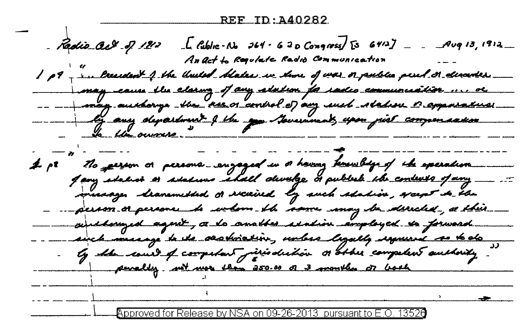$\int_0^{\pi}$  fublic-No J64 - 620 Congress) [3 64/2] \_\_ Aug 13, 1912\_ Radio act of 1212 An act to Regulate Radio Communication 1 p9 - me lresident 4 the United blates we show of war or public peut or elisantis. may cause the claring of any adulton for radio communication .... or -- --- may auchany the new or control of any such station or apparatuse - by any department of the age becaused you pist compensation To the owners. The garron or persons engaged in a having tenimbly of the exercison  $\boldsymbol{\mathcal{A}}$ . ps Jany stalioù er stalious 'shall develge dr publek the contexts of any musager branemethed or everired by such shahios, spaper de the -person or persone to whom the some may be derected, a this - girlbouged agnit, a lo analbes statin amployed to forward. airch massage to the ovariation, unless legally sequend so to do penally with nor than 250.00 or 3 months or both Approved for Release by NSA on 09-26-2013 pursuant to E.O. 13526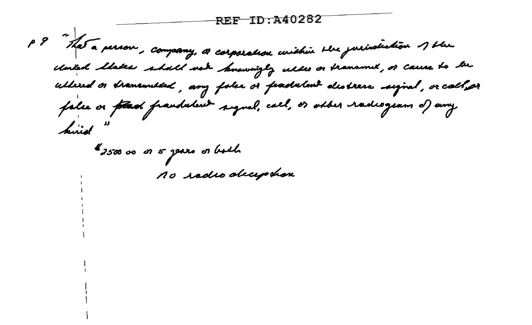**REF-ID: 240282** 

P ? "That a person, company, a corporation within the jurisdiction of the closical Make shall not knowingly wills or transmit, or cause to be ullered or drammeded, any false or feadulant destress sujval, or call pr false or **frest frandulent signal**, call, or other radiogram of any hired

\$ 2500 oo or 5 years or bolh no radio deception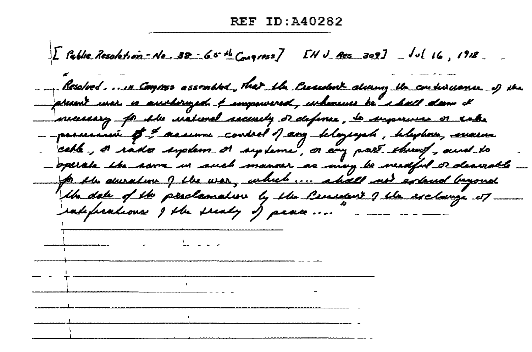$\int L$  fable Resolution-No. 38 65 th Congress]  $L$ H J Acs 309]  $\int$  Jul 16, 1918 Resolved....... Compres assembled, that the Creached alway the continuance of the present unar so anshøruged <u>å am</u>pawered, inhancies he i hall dann it necessary for the unstimal sacissibly or defines, be supervers or rake --possessive # = assume control 1 any belogiques, belogione, sevarina - cable-, a rado suplem a supleme, or any part through, and to - operate the same in such manner as may be needful or dearnable for the duration of the war, which ... ahall not a lend beyond the date of the perclamation by the Consider's the exclainge it radifications I the sealy of peace ....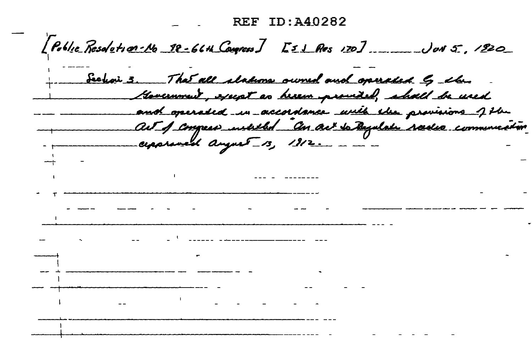**REF ID: A40282**  $[Peblie$  Resolution-No 18-66th Courses ]  $51$  Res 170] \_\_\_\_\_\_\_ Jun 5., 1920 Section 3. That all stations owned and operated by the Gevernment, except as herem previded, shall be used and operated in accordance with the provisions of the au 1 congress unliked an act to Ayulah reales communication cepprened august 13, 1912.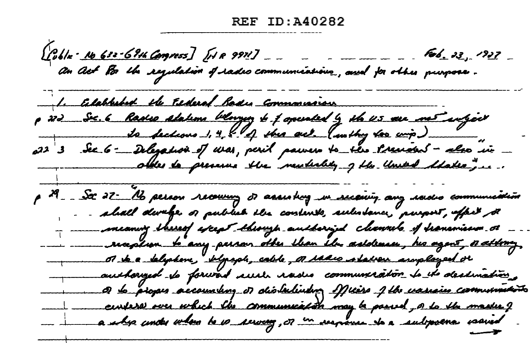[Cobla <u>· No 632-69th Compress]</u> [HR 9971] \_\_\_\_\_\_\_\_\_\_\_\_\_\_\_\_\_ Feb. 23, !<br>Con Act Por the segulation of sades communications<sub>, c</sub>and for other purpose. 1. Celabhebed the Esderal Bades Commonweau p 22 Sec. 6 Radio alahme blonzez to 1 aperaled by the 45 am met aufgev to fections 1, 4, 8 17 this act (withy too wip)<br>at 3 Sec 6 - Delegation of was, peril pawers to this stresses - also in other to presence the mechality of the United Makes, ... p 29 - St 22 Mb person recours of assisting in section, any sadio communities - a hall durely of publish the contents, substance, purport, affect to meaning thereof aperpt theoryp authorized cleannels of transmission or sun reaplion to any person other than the astolences, his agent, or attory, ot to a telephone, blyngde, cable, or iadio station anyologied or authoryed to forward auch radio communication to the dealmation. a de piopes accountery or olierkilleding of the vasions communication curser we which the communication may be possed, o to the master of a shp under when be is reward , or in verposes to a subposer a count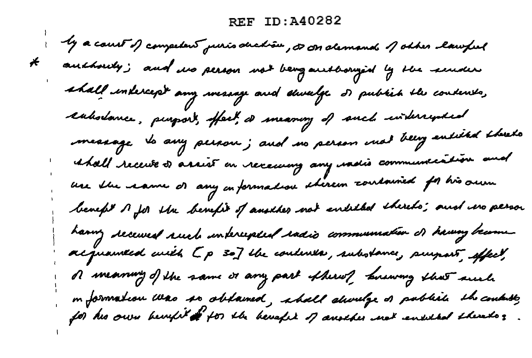**REF ID: A40282** 

by a court of competent puris duction, it in demands of other lawful \* auchously; and no person not being authorized by the sender shall indercept any wearage and shoulge of public the contents, eabolance, purport, offect, a meaning of such interreposed message to any person; and no person mat being entitled threeto whall receive of arrist on receiving any washis communication and use the same of any on formation stereon contained for his own benefit  $A$  for the benefit of another not enlitted therets; and in person having received ruch interespect radio communication of having become acquained with [p 30] the condition, substance, purpost, effect, of meaning of the same or any part of hereof business that such m formation was so obtained, aball shoulge os pablich the condute,<br>for his own hevifit of for the hevefier of another net ensited there to **z**.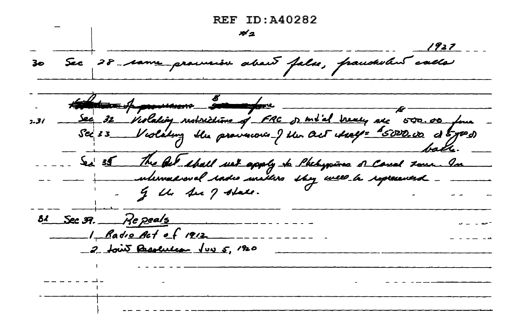$REF$   $ID:40282$  $A_{2}$ 1927 30 Sec 28 rame province about false, francholent calle the formulation soldiers . 7.31 - Sec 32 Violation restrictions of FRC of motal treaty are 500.00 form Sea 35 This Get shall wet apply to thebypines of Consel some In - I the See of state.  $31$  Sec  $39$ . Re peals  $1 - \frac{6}{100}$  Act of 1912 2 four Resolution Jun 5, 1920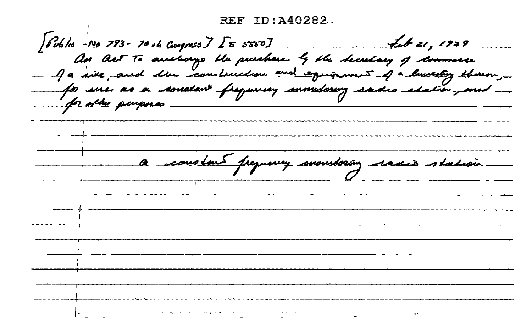An Act To accelerage the purchase by the hearday of dominate - Ja site, and the construction and equipment - of a huntering thereon, for une as a constant frequiries commitoring said abation, and for stay purposes a constant preparing monitoring radio station.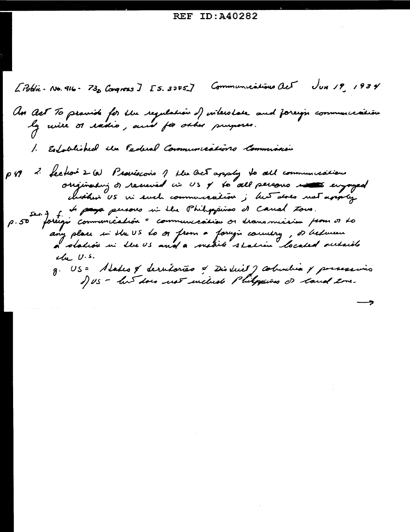Libblie-No. 916-73, Congress J [5. 32F5] Communications act Jux 19, 1934 An Act To pravide for the regulation of interstate and foreign communication 1. Established the Federal Communications Communication p 49 2 feetoir 2 (a) Provisions 1 the Oct apply to all communications originating of received in US + to all persons in surgeyed chother US in such communication ; his does not apply p.50 fortigi communication = communication or dramamissim from or to any place in the US to or from a foreign country, or between<br>a obadión in the US and a mabile station located outside  $4\mu$  U.s. g. US = Alates & derutories & District J columbia & possessions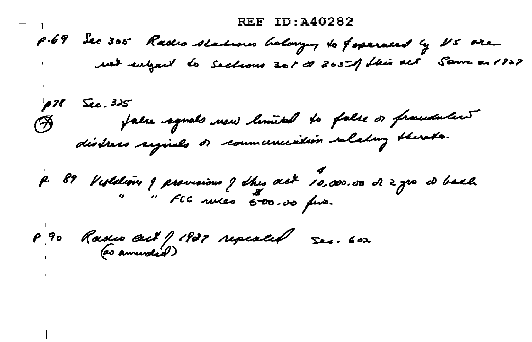#### $REF$   $TD:$   $A40282$

p.69 Sec 305 Rades stations belonging to foperated by US are ust subject to Sections 301 00 3051 this act Same as 1927

p 78 Sec. 325<br>B false agnals new limited to false or franchaters

p. 89 Violation y provisions y dhes ask 10,000.00 de 2 yrs de bach

P 90 Rouses ent / 1937 repealed 500. 602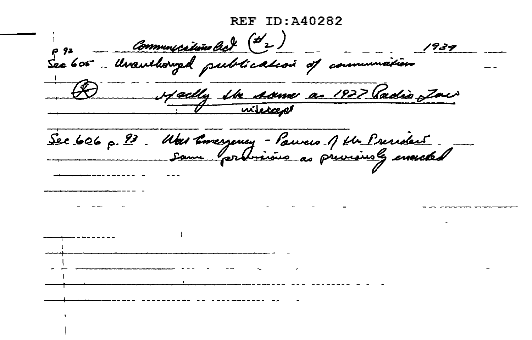REF TD: 140282  $1939$ Hadly the Arme as 1927 Radio Jac miled Sec 606 p. 93. Une Emergency-Pauveus 1 pln President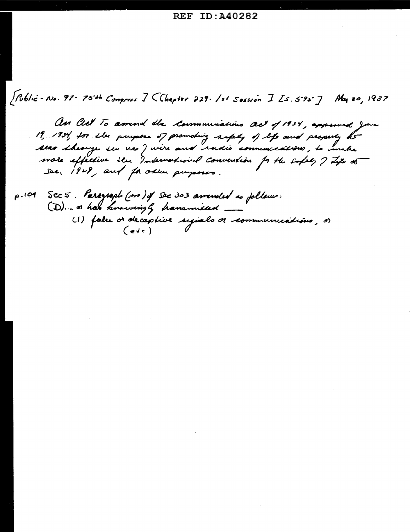[Public-No. 97-75-4 Congress ] < Chapter 229. 1st Sossion ] [s. 5-9s-] May 20, 1937

An Cel To amind the Communications act of 1934, approved June 19, 1934, for the purpose of promoting safely of life and property be Alao Shearge ser veo J vive and radio communications, to make more effective ser Indemational convention for the safely I Life of see, 1928, and for order purposes.

p.101 Sec 5. Paragraph (m) of Sec 303 amended as follows: (D)... or has knowingly hanamitted. (1) false d'aleceptive symals de communications, et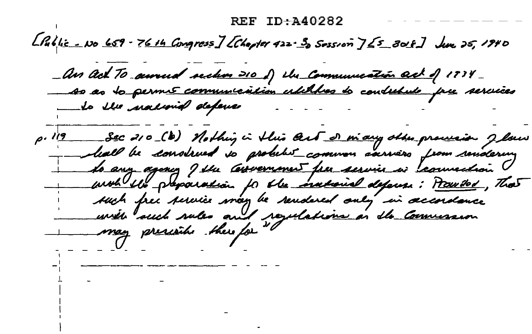## $RFF$  TD $-440282$

 $L$ Public - No 659 - 7614 Congress] [Chapter 422. 3 Sossion ]  $\leq$ 5 3018] June 25, 1940

- An Act To annual section 210 f) the Communication act of 1734-<br>- As as to permis communication utilibres to contribute prie services Lo the national defense Sec 210 (b) Nothing in this cent of many other procession J low<br>hall be construed to probable common sarwers from rendering  $0.119$ 

<u>to any agency I the Convernment free service in teamediant</u> und the preparation for the instant defense: Pauvited, That such free service may be rendered only in accordance urile such sules and regulations in the Commission may preside there for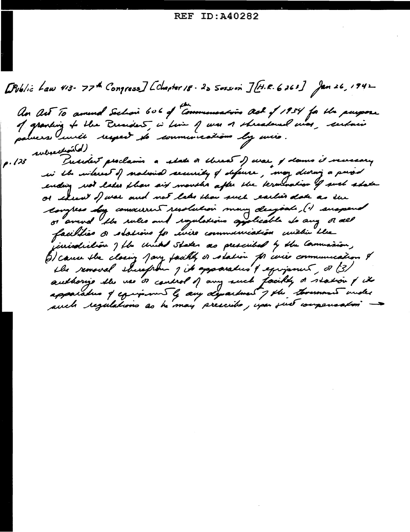[Public Law 413-77th Congress] [Chapter 18-20 Sosson ][H.R. 6263] Jan 26, 1942 An Act To amend Sechon 606 of Commencation act of 1934 for the purpose of granding to the President, is time of was a shreadened was, certain parvers uncle respect to communications by miss. p. 123 subsection(d) President proclaims a splate or chreat of war of dames it verseary in the interest of national security of defense, may devery a priod ending not later than six months after the termination of such shake or elect of war and not lake than such earlier date as the compless sy conservered resolution many despoats, (1) suspend or amend the rules and regulations applicable to any order facilities or stations for unico communication unitain the jurisdiction ) flu united states as prescribed by the Commassion, (3) cause the closing Jany facility or station for we're communication of the removal sherefrom I its apparatus & equipment, or (3) authorize the use of couldnot of any such facily of station of it apparatus of equipment by any department of the thousand under such regulations as himay prescribe, you suit compensation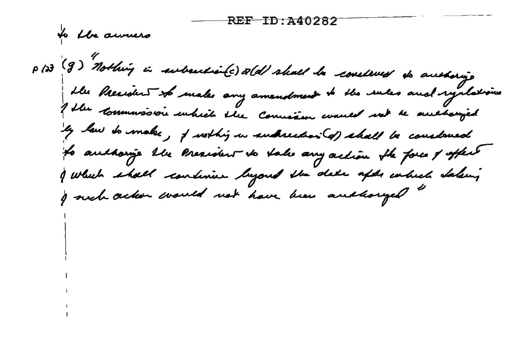<del>-REF - TD : 240282</del>

to the auruers

p 123 (g) Nothing in automation(c) and shall be construed to anothoning ble President to make any amendment to the rules and ryclations I blu commussion enhich the Comission waves not be authorized ly law to make, if working in subsection (d) shall be considered to audhorize the President to take any action the force of affect I which shall continue lujoud the date afds colied dalung I nech action would not have been andhought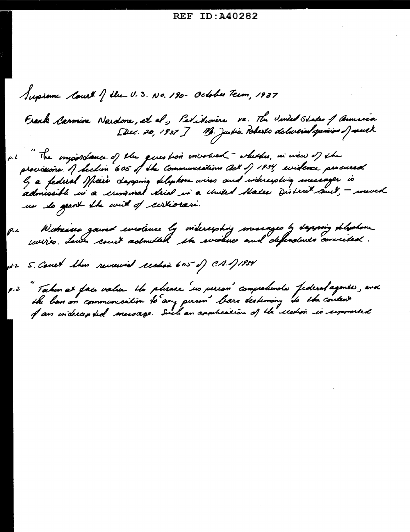Supreme Court of the U.S. No. 180- October Term, 1937 Frank Carmine Nardone, et el., Pedikionère vs. Hu United States of America<br>[Dec. 20, 1937] M. Justic Poberts delivered openion of south The importance of the gives too involved - whether, in wew of the  $\rho$ . l. lz a federal Mierr dapging deliphon wires and indercipting imesinger is<br>admissible in a crimonal drial in a chuted Males Diotric<sup>k</sup> auch, — moved us les grant the will of certiorari. Witnias gained evidence by midercyshing measages by dapping deliphone  $P - 2$ pt-2 S. Court Show reveaued readon 605 of C.A. 171934 " Takin at fais value the phrace sur person" comprehends federal agents, ava<br>the ban on communication to any pirson" bars destinony to the content<br>of an indercepted message. Siel an application of the rechon is signorated  $\rho$ . 2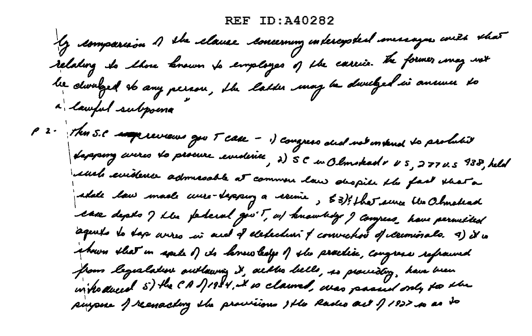#### ID:A40282 REF

Y comparison 1 she clause concerning indercysted missages with that relating to those known to employes of the carrier the former imaginst be dwalged to any person, the latter may be dwelged in answer to a lawful subpoint p 2 - The S.C superiorieus gov T case - i) congress dud not instend to probabit dapping everes do procure evidence, 2) 5 C en Olmskad & US, 277 U.S 938, held iduels evidence admissable at commen law shopile the fact that a adale law maal curre-depension a recente, 53); that sure the Ohmetead case depts I ble perferal ges't, as knowledge I congress, have permetted aquelo lo dap anzo in and d'elebedini y convictivo d'ilecomorale. 4) il in shown that in speke of its lanew belge of the practice, congress refraund from legislative outlawing it, alle liells, is providing, have been in hodered 5) the CA 1/1984, it is claimed, was passed only to the purpose of reemactory the provisions the Rades act of 1922 so as to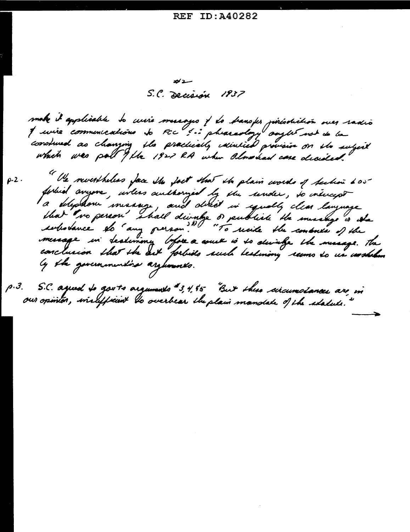ガエ S.C. Decisión 1937

make it applicable to cente mussages of do dransfer pirésolution sues saveis<br>of service commencations to FCC 3-2 pharaology sayles not do la<br>construed as chanying the practically intuited provision on the subject

" He nevertheless face the fact that the plain words of technic 605  $\rho$ -2. forbid anyone, inless authorized by the sender, to intercept la déligidare mensenge, and délicit in equally clear language ly the governmenties arguments.

p.3. S.C. agued to gov'ts arguments #3,4,55 "But thes sicumplance are in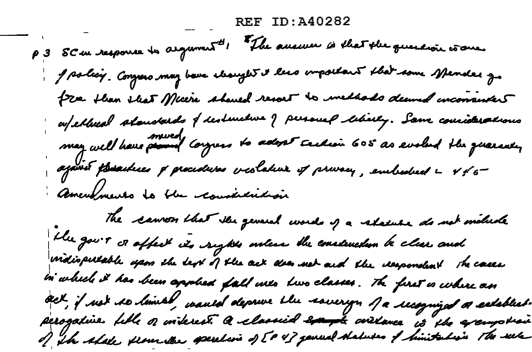REF TD: 140282

P 3 SC en response to argument " The answer is that the querewir wome J solicy. Congress may be ve cleanges it less important that some spender go fre then that Micere should resort to includes deemed inconsistent afelhed slandsed of destructive of personal leboly. Sam considerations may well have promot corgress to adopt cechion 605 as evolved the quaranty ajavet posailuses of procedures veslature of privacy, embodied a 456 Americano la the construction The samon that the general words of a slatute do not molecle the gover or affect its rights orders the emetendem be clear and motiopulable years the dept of the oct does not and the despondent the cases in which it has been applied fall into live classes. The first is where an act, if not to limed, wanted deprive the sovery of a recognized a extertist. perogative fill o interest a classical example contance is the exemption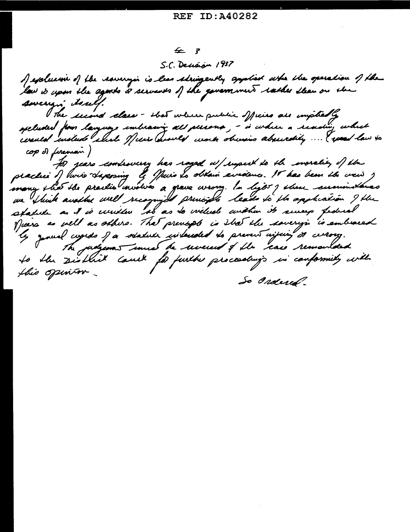# 乒 了

S.C. Decision 1937

of explusive of the rovergion is less stringently applied where the operation of the law is upon the agents of servants of the government rather than on the swering isself. The second class - shot where public officies are impliedly opeluded for language imbracing all persona, - is where a reasing which counted insteads which of wis County work obvisio absurdily ... ( speed law to cop of foreman ) for years combinuing has raged u/rupect to the incrality of the praclui j lurio dapazing le Juio Lo obtain aviolenco. Il has been the veis, we Shink another well recognized principle leads to the application I the spatule as it is urither tob as to willed within its sureys federal Mars as well as others. That previously is that the soverys is embraced genual cupido of a soladule cuideraled do prevent injuing of currony. The judgement sures he were of the case remainded the District Court for further proceedings in conformity with  $\boldsymbol{\varphi}$ this opinion. So Ordered.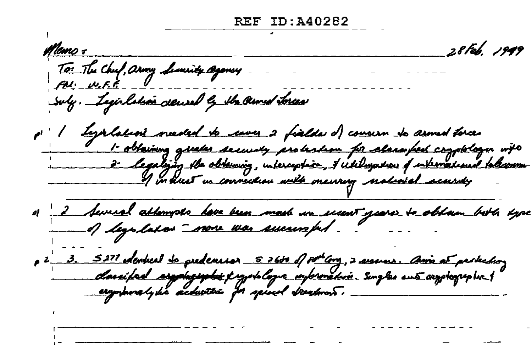28 Feb. 1949 <u>Mems =</u> To: The Chuf, army Limity agency. suly. Legislation derived by the armed tores Lyorlation nieded to cover 2 fialds of coveien to armed torce.<br>I obtaining greater security protection for classified cogplelogic into<br>2 legalizing the obtaining, intercyclic, 1 ickiligation of international fellcommu-<br>I i p 2 3. 5277 denkeel <u>so predeversor 526to</u> of po<sup>ur</sup>lang, 2 secures. Come at predection<br>classified seggelogyphic projector conformation. Surgles aus compleyes but<br>anywheredy his achievers for speed streatment.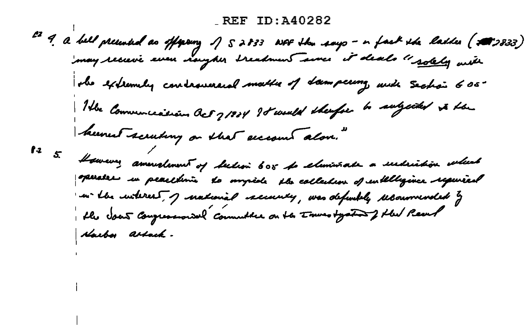ez 9. a bell preented as offerenz 1 52833 with the says - in fast the latte (200333)<br>Imay receive seven naugher treatment same it deals "solely with the externely controversed matter of dampering with Section 605. The Communication act 71924 88 would thenfor to subjected to the hermet scruting on that eccount alon."  $\int_0^2$ However, amerolment of believ 605 to climinate a undrickon where presser in peachime to myside the collection of entitligence required an the interest, of national security, was defeately recommended by the Jour Congression and Committee on the Towns tystand of the Pearl Harbor assack.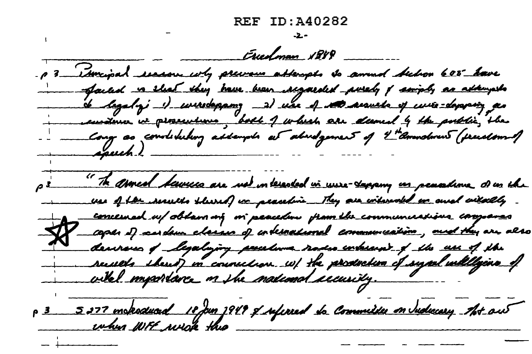Erredman 1889 - p 3 - Ismipal securion why previous attempts to amind below 600° have - Sacled is that they have been acquided purely of samply as attempts de legalogi il curredesgano, al una el sette arqueta el curre-desespaño as en deux vi proceetims, boll 1 which are dured 4 the public, the Cong as condituling assempts at abudgement of 4th americans (pressionnel "The armed baviers are not interested in unse-seagang in peacadime of us the use of the securito shored or peaceline. They are witnessed or and witnessly concerned u/oblan né vi peacedou promibe communications compares<br>coper if carden classic of code<u>rnational</u> co<del>mmunications , and they</del> are also denvens of Legalajory persolera vades erbeard of the use of the<br>securels thered in counselion w/ the production of synd willlyins of<br>wike! importance on the malcount eccusity. p 3 5077 moderatured 10 from 1949 of suffered to Committee on Inducary that out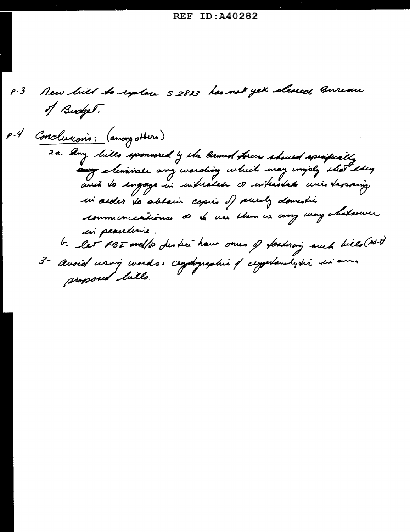New bill to system 52833 has not yet cleared Bureau  $\rho \cdot \mathcal{J}$ of Budget. P.4 Conclusions: (among others) 2 a. Any lills sponsored by the larmed forces should speakeally any eliminate any wording which may imply that they and to engage in indicatan or interstate wire tapping in sides to ablain copies of purely domestic communications of the use them in any way whatsour un peacedonie. b. let FBI and/or deaths have ones of fortuning such bills (N-T) 3- Avoid using words: captyraphie of cappalandyshi sui ann proposed bills.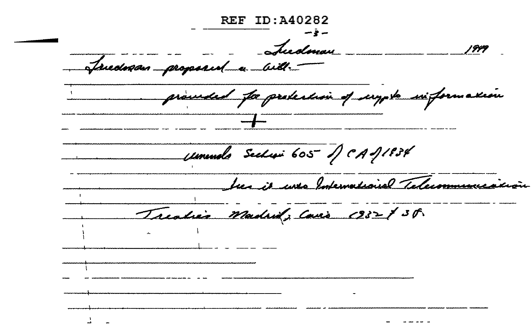**REF ID: 440282** Ludman Triedman proposed and proceed for prodeclion of scrypts six formation umundo Sechai 605 JCAJ1834 Luca it uses International Telecommunic Treaties Madrid, Cavis 1932 \$ 38.